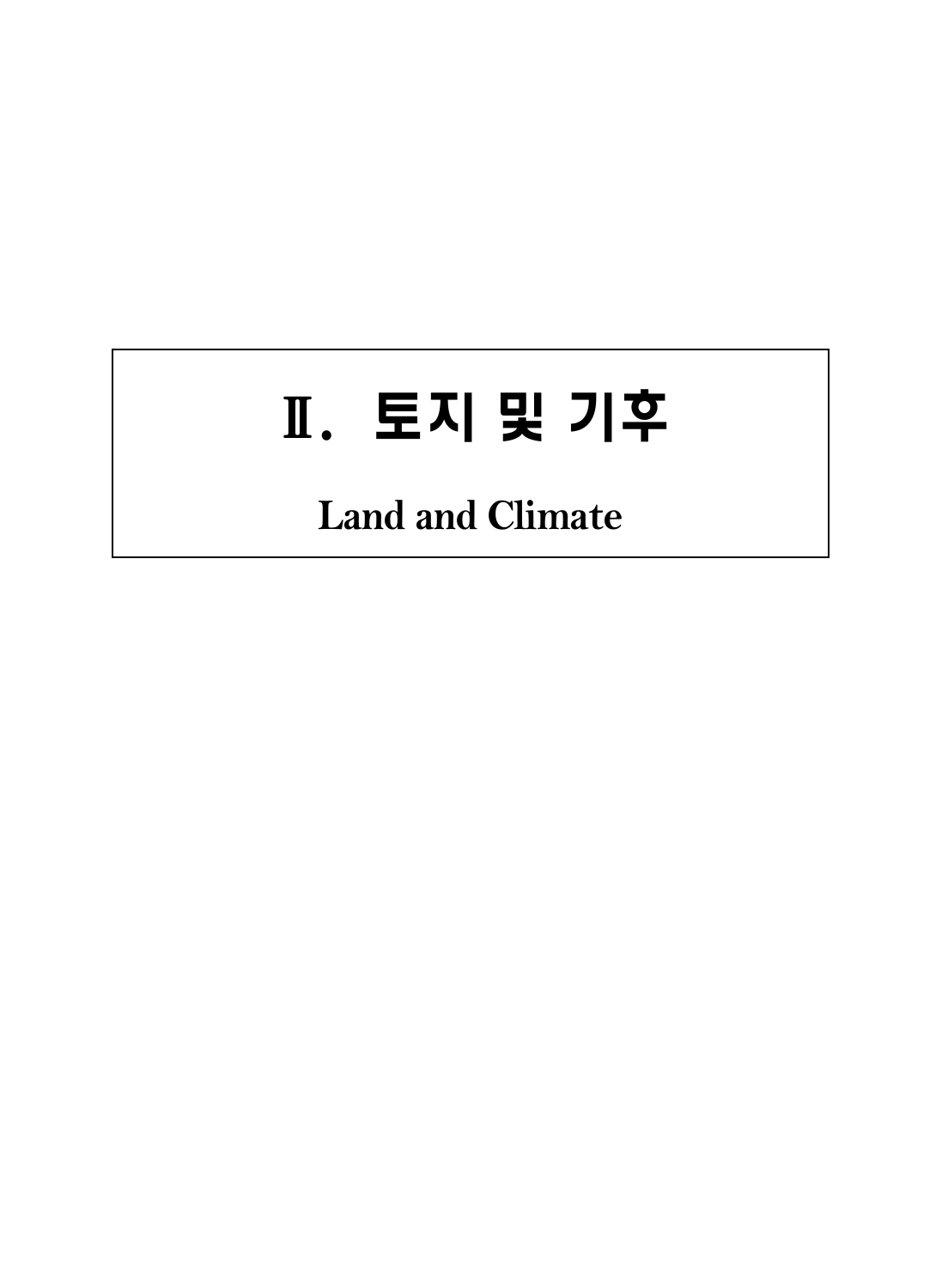# Ⅱ. 토지 및 기후

# **Land and Climate**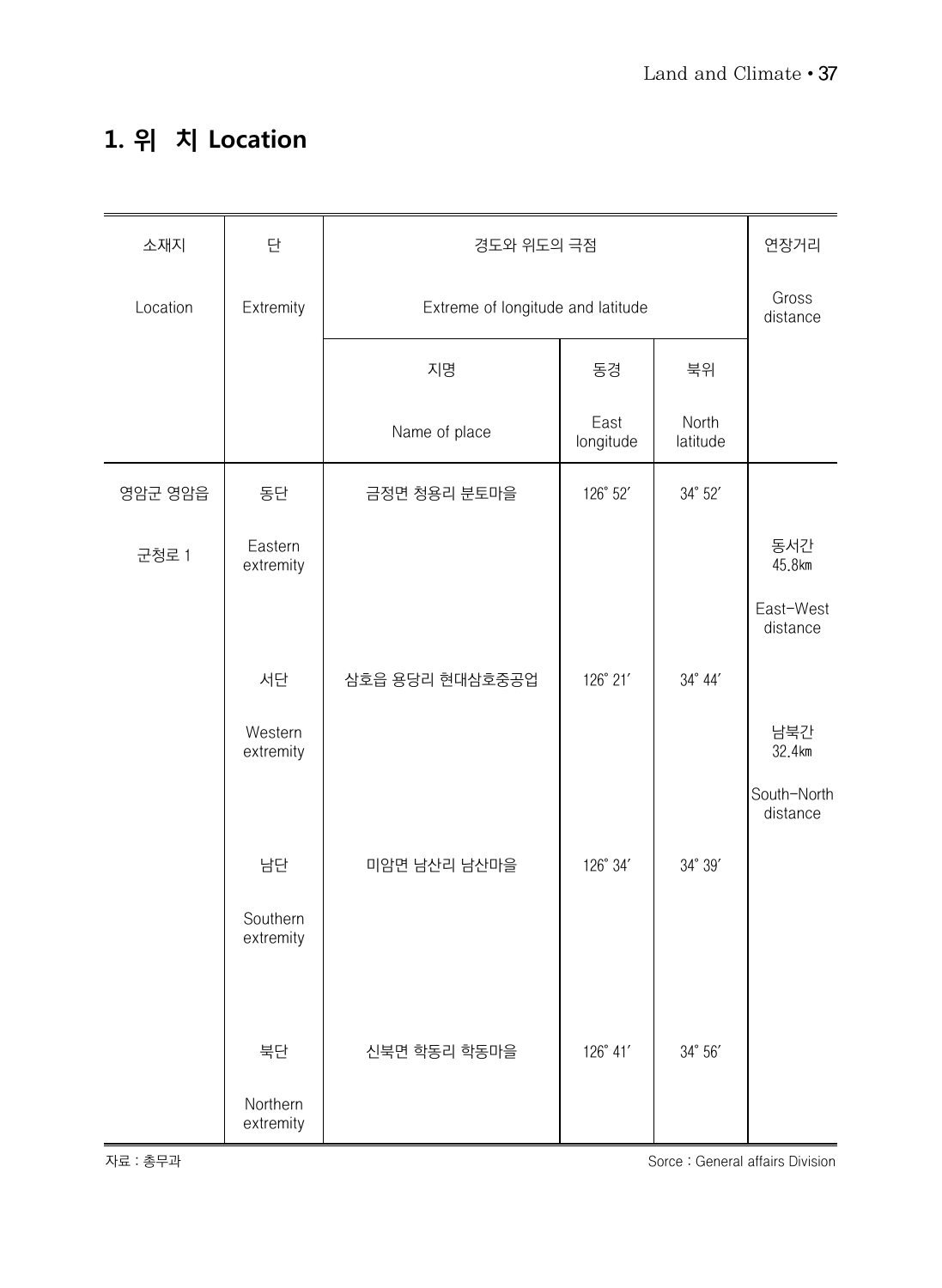#### **1. 위 치 Location**

| 소재지      | 단                     |                                   | 경도와 위도의 극점        |                   |                         |  |  |  |
|----------|-----------------------|-----------------------------------|-------------------|-------------------|-------------------------|--|--|--|
| Location | Extremity             | Extreme of longitude and latitude |                   |                   | Gross<br>distance       |  |  |  |
|          |                       | 지명                                | 동경                | 북위                |                         |  |  |  |
|          |                       | Name of place                     | East<br>longitude | North<br>latitude |                         |  |  |  |
| 영암군 영암읍  | 동단                    | 금정면 청용리 분토마을                      | 126° 52'          | 34° 52'           |                         |  |  |  |
| 군청로 1    | Eastern<br>extremity  |                                   |                   |                   | 동서간<br>45.8km           |  |  |  |
|          |                       |                                   |                   |                   | East-West<br>distance   |  |  |  |
|          | 서단                    | 삼호읍 용당리 현대삼호중공업                   | 126° 21'          | 34° 44'           |                         |  |  |  |
|          | Western<br>extremity  |                                   |                   |                   | 남북간<br>32.4km           |  |  |  |
|          |                       |                                   |                   |                   | South-North<br>distance |  |  |  |
|          | 남단                    | 미암면 남산리 남산마을                      | 126° 34'          | 34° 39'           |                         |  |  |  |
|          | Southern<br>extremity |                                   |                   |                   |                         |  |  |  |
|          |                       |                                   |                   |                   |                         |  |  |  |
|          | 북단                    | 신북면 학동리 학동마을                      | 126° 41'          | 34° 56'           |                         |  |  |  |
|          | Northern<br>extremity |                                   |                   |                   |                         |  |  |  |

자료 : 총무과 Sorce : General affairs Division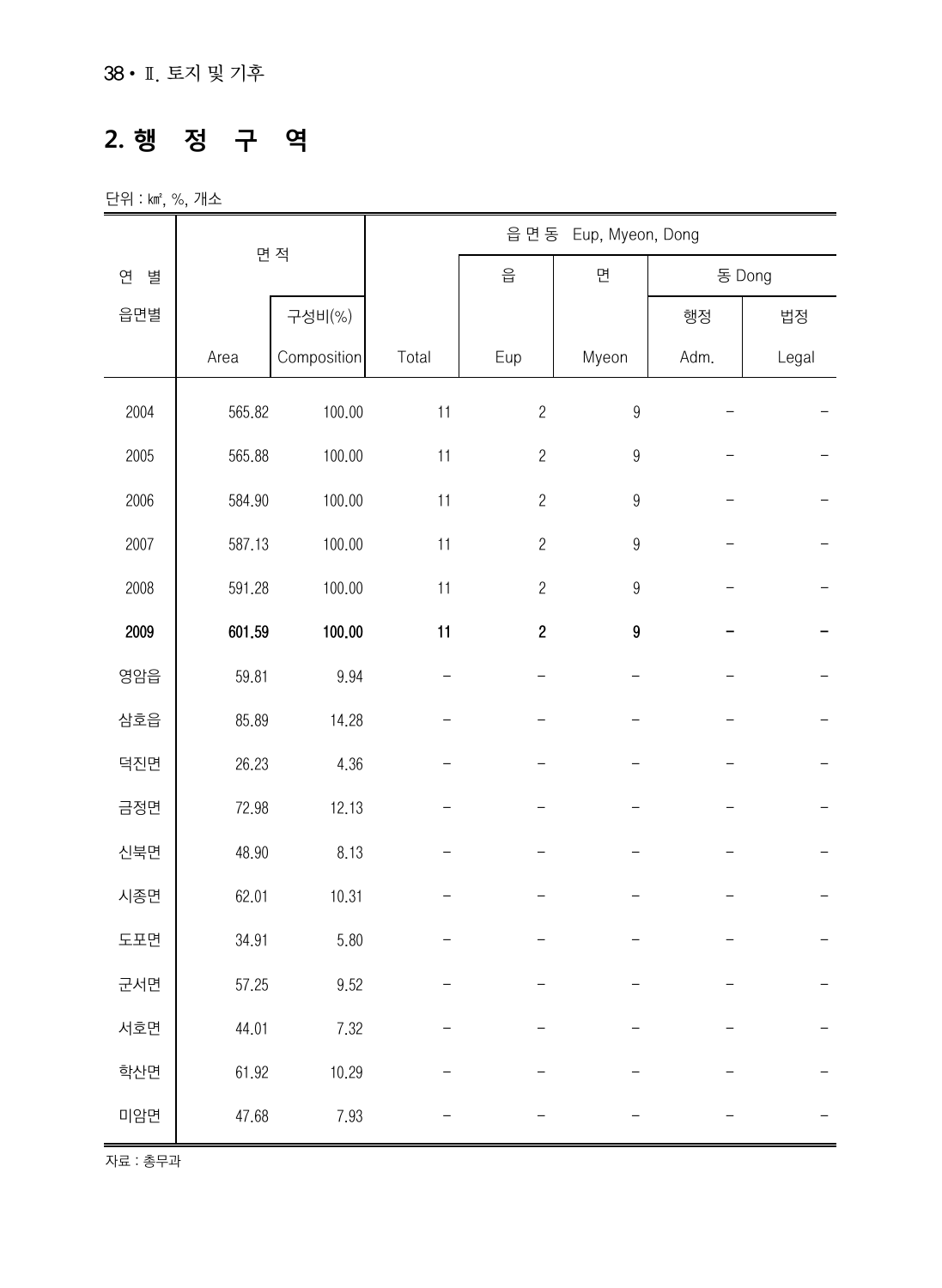#### **2. 행 정 구 역**

단위 : ㎢, %, 개소

|        | 면 적    |             | 읍 면 동<br>Eup, Myeon, Dong |                                                       |                  |      |        |  |  |
|--------|--------|-------------|---------------------------|-------------------------------------------------------|------------------|------|--------|--|--|
| 연<br>별 |        |             |                           | $\frac{\textstyle \mathsf{O}}{\textstyle \mathsf{H}}$ | 면                |      | 동 Dong |  |  |
| 읍면별    |        | 구성비(%)      |                           |                                                       |                  | 행정   | 법정     |  |  |
|        | Area   | Composition | Total                     | Eup                                                   | Myeon            | Adm. | Legal  |  |  |
| 2004   | 565.82 | 100.00      | 11                        | $\sqrt{2}$                                            | $\boldsymbol{9}$ |      |        |  |  |
| 2005   | 565.88 | 100.00      | 11                        | $\overline{c}$                                        | $\boldsymbol{9}$ |      |        |  |  |
| 2006   | 584.90 | 100.00      | 11                        | $\sqrt{2}$                                            | $\boldsymbol{9}$ |      |        |  |  |
| 2007   | 587.13 | 100.00      | 11                        | $\sqrt{2}$                                            | $\boldsymbol{9}$ |      |        |  |  |
| 2008   | 591.28 | 100.00      | 11                        | $\overline{c}$                                        | $\boldsymbol{9}$ |      |        |  |  |
| 2009   | 601.59 | 100.00      | 11                        | $\boldsymbol{2}$                                      | 9                |      |        |  |  |
| 영암읍    | 59.81  | 9.94        |                           |                                                       |                  |      |        |  |  |
| 삼호읍    | 85.89  | 14.28       |                           |                                                       |                  |      |        |  |  |
| 덕진면    | 26.23  | 4.36        |                           |                                                       |                  |      |        |  |  |
| 금정면    | 72.98  | 12.13       |                           |                                                       |                  |      |        |  |  |
| 신북면    | 48.90  | 8.13        |                           |                                                       |                  |      |        |  |  |
| 시종면    | 62.01  | 10.31       |                           |                                                       |                  |      |        |  |  |
| 도포면    | 34.91  | 5.80        |                           |                                                       |                  |      |        |  |  |
| 군서면    | 57.25  | 9.52        |                           |                                                       |                  |      |        |  |  |
| 서호면    | 44.01  | 7.32        |                           |                                                       |                  |      |        |  |  |
| 학산면    | 61.92  | 10.29       |                           |                                                       |                  |      |        |  |  |
| 미암면    | 47.68  | 7.93        |                           |                                                       |                  |      |        |  |  |

자료 : 총무과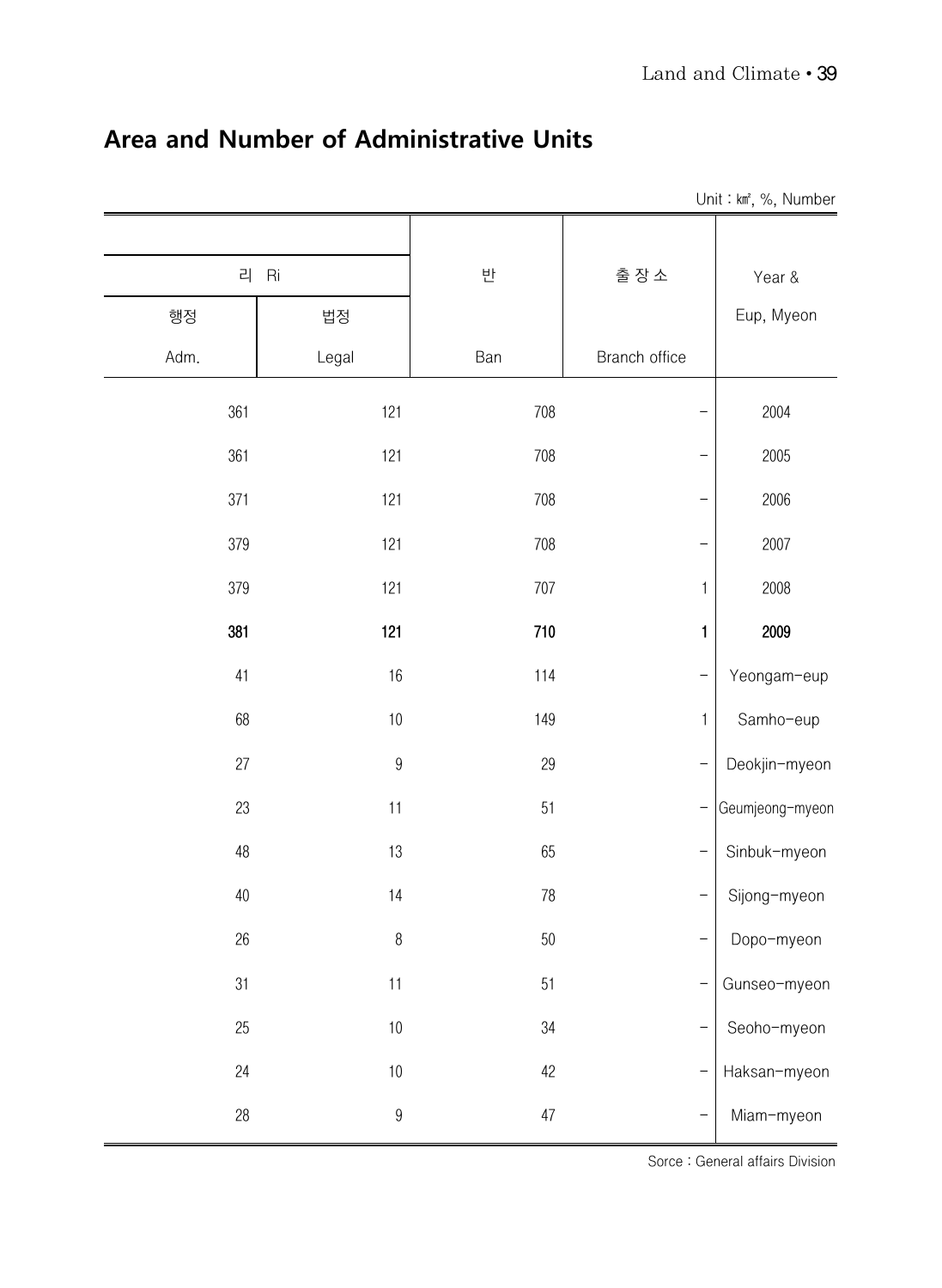|        |                  |        |               | Unit: km <sup>2</sup> , %, Number |
|--------|------------------|--------|---------------|-----------------------------------|
|        |                  |        |               |                                   |
| 리      | Ri               | 반      | 출장소           | Year &                            |
| 행정     | 법정               |        |               | Eup, Myeon                        |
| Adm.   | Legal            | Ban    | Branch office |                                   |
| 361    | 121              | 708    |               | 2004                              |
| 361    | 121              | 708    |               | 2005                              |
| 371    | 121              | 708    |               | 2006                              |
| 379    | 121              | 708    |               | 2007                              |
| 379    | 121              | 707    | 1             | 2008                              |
| 381    | 121              | 710    | 1             | 2009                              |
| 41     | 16               | 114    |               | Yeongam-eup                       |
| 68     | $10$             | 149    | $\mathbf{1}$  | Samho-eup                         |
| 27     | $\overline{9}$   | 29     |               | Deokjin-myeon                     |
| 23     | 11               | 51     |               | Geumjeong-myeon                   |
| 48     | 13               | 65     | <sup>-</sup>  | Sinbuk-myeon                      |
| 40     | 14               | 78     |               | Sijong-myeon                      |
| 26     | $\, 8$           | $50\,$ |               | Dopo-myeon                        |
| 31     | 11               | 51     |               | Gunseo-myeon                      |
| 25     | $10\,$           | $34\,$ |               | Seoho-myeon                       |
| 24     | $10\,$           | 42     |               | Haksan-myeon                      |
| $28\,$ | $\boldsymbol{9}$ | $47\,$ |               | Miam-myeon                        |

#### **Area and Number of Administrative Units**

Sorce : General affairs Division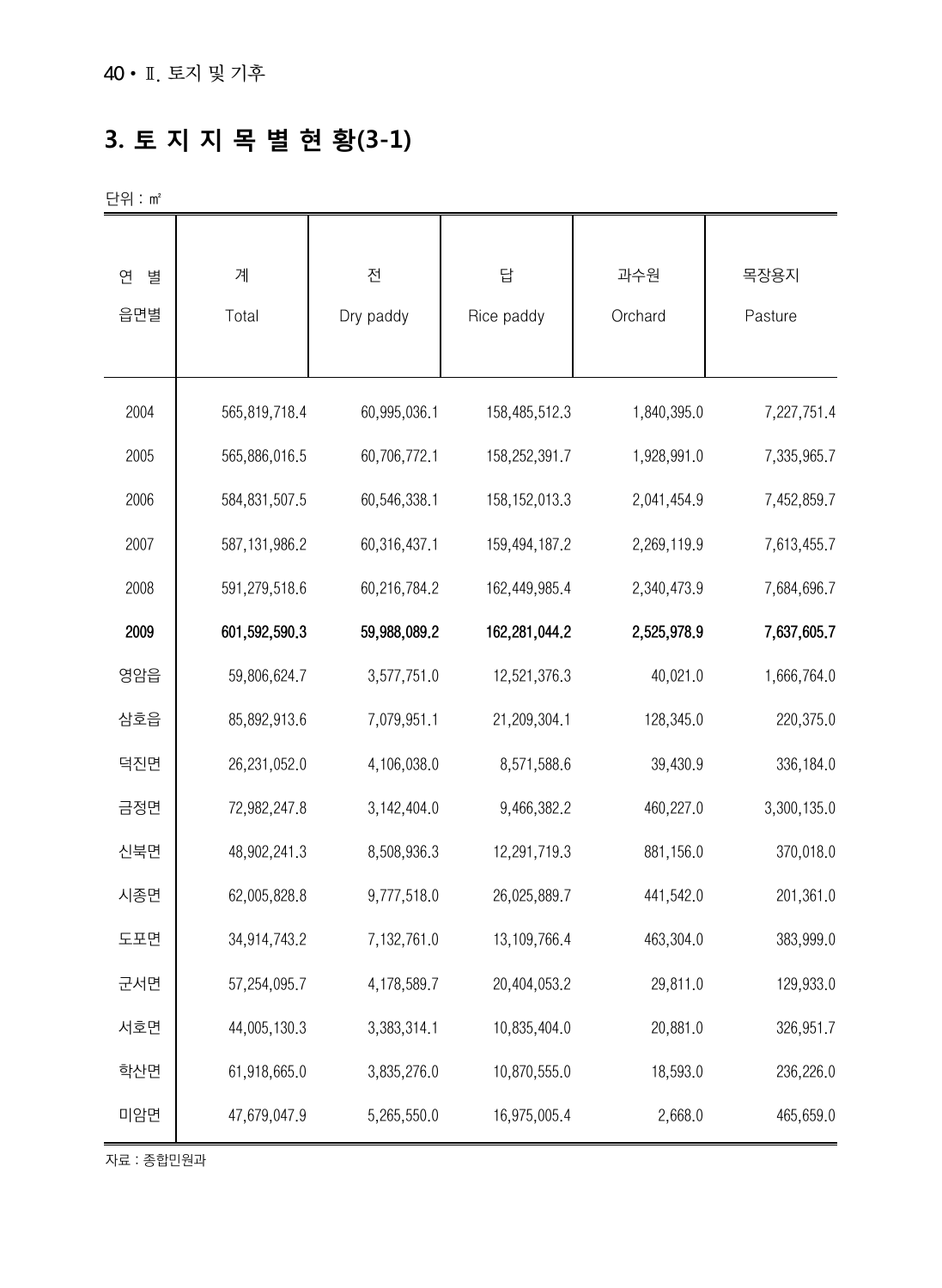## **3. 토 지 지 목 별 현 황(3-1)**

단위 : ㎡

| 연<br>별 | 계               | 전            | 답               | 과수원         | 목장용지        |
|--------|-----------------|--------------|-----------------|-------------|-------------|
| 읍면별    | Total           | Dry paddy    | Rice paddy      | Orchard     | Pasture     |
|        |                 |              |                 |             |             |
| 2004   | 565,819,718.4   | 60,995,036.1 | 158,485,512.3   | 1,840,395.0 | 7,227,751.4 |
| 2005   | 565,886,016.5   | 60,706,772.1 | 158,252,391.7   | 1,928,991.0 | 7,335,965.7 |
| 2006   | 584, 831, 507.5 | 60,546,338.1 | 158, 152, 013.3 | 2,041,454.9 | 7,452,859.7 |
| 2007   | 587, 131, 986.2 | 60,316,437.1 | 159,494,187.2   | 2,269,119.9 | 7,613,455.7 |
| 2008   | 591,279,518.6   | 60,216,784.2 | 162,449,985.4   | 2,340,473.9 | 7,684,696.7 |
| 2009   | 601,592,590.3   | 59,988,089.2 | 162,281,044.2   | 2,525,978.9 | 7,637,605.7 |
| 영암읍    | 59,806,624.7    | 3,577,751.0  | 12,521,376.3    | 40,021.0    | 1,666,764.0 |
| 삼호읍    | 85,892,913.6    | 7,079,951.1  | 21,209,304.1    | 128,345.0   | 220,375.0   |
| 덕진면    | 26,231,052.0    | 4,106,038.0  | 8,571,588.6     | 39,430.9    | 336,184.0   |
| 금정면    | 72,982,247.8    | 3,142,404.0  | 9,466,382.2     | 460,227.0   | 3,300,135.0 |
| 신북면    | 48,902,241.3    | 8,508,936.3  | 12,291,719.3    | 881,156.0   | 370,018.0   |
| 시종면    | 62,005,828.8    | 9,777,518.0  | 26,025,889.7    | 441,542.0   | 201,361.0   |
| 도포면    | 34,914,743.2    | 7,132,761.0  | 13, 109, 766.4  | 463,304.0   | 383,999.0   |
| 군서면    | 57,254,095.7    | 4,178,589.7  | 20,404,053.2    | 29,811.0    | 129,933.0   |
| 서호면    | 44,005,130.3    | 3,383,314.1  | 10,835,404.0    | 20,881.0    | 326,951.7   |
| 학산면    | 61,918,665.0    | 3,835,276.0  | 10,870,555.0    | 18,593.0    | 236,226.0   |
| 미암면    | 47,679,047.9    | 5,265,550.0  | 16,975,005.4    | 2,668.0     | 465,659.0   |

자료 : 종합민원과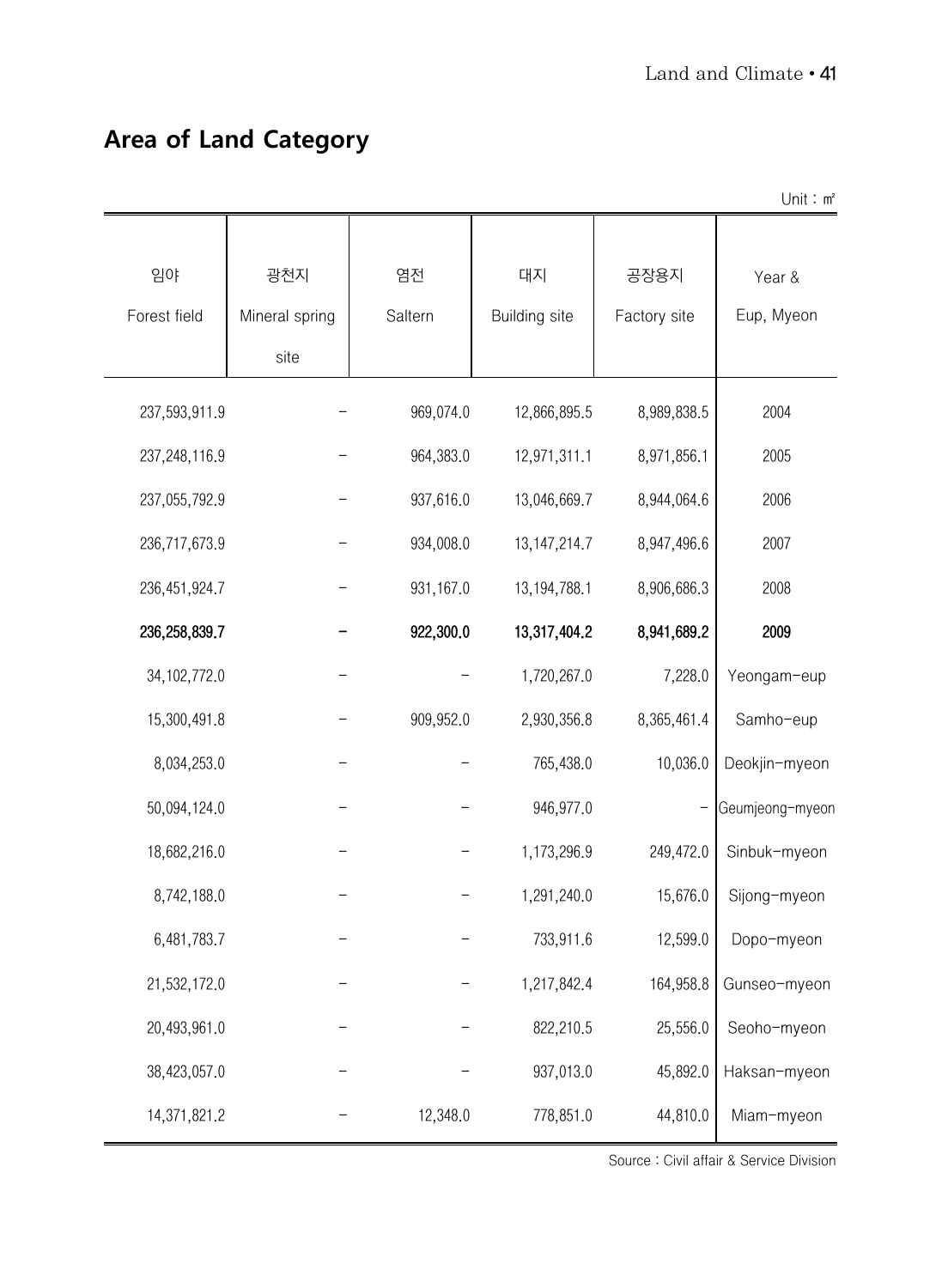#### **Area of Land Category**

|                    |                               |               |                            |                      | Unit: $m^2$          |
|--------------------|-------------------------------|---------------|----------------------------|----------------------|----------------------|
| 임야<br>Forest field | 광천지<br>Mineral spring<br>site | 염전<br>Saltern | 대지<br><b>Building</b> site | 공장용지<br>Factory site | Year &<br>Eup, Myeon |
| 237,593,911.9      |                               | 969,074.0     | 12,866,895.5               | 8,989,838.5          | 2004                 |
| 237,248,116.9      |                               | 964,383.0     | 12,971,311.1               | 8,971,856.1          | 2005                 |
| 237,055,792.9      |                               | 937,616.0     | 13,046,669.7               | 8,944,064.6          | 2006                 |
| 236,717,673.9      |                               | 934,008.0     | 13, 147, 214. 7            | 8,947,496.6          | 2007                 |
| 236, 451, 924.7    |                               | 931,167.0     | 13, 194, 788.1             | 8,906,686.3          | 2008                 |
| 236, 258, 839.7    |                               | 922,300.0     | 13,317,404.2               | 8,941,689.2          | 2009                 |
| 34, 102, 772.0     |                               |               | 1,720,267.0                | 7,228.0              | Yeongam-eup          |
| 15,300,491.8       |                               | 909,952.0     | 2,930,356.8                | 8,365,461.4          | Samho-eup            |
| 8,034,253.0        |                               |               | 765,438.0                  | 10,036.0             | Deokjin-myeon        |
| 50,094,124.0       |                               |               | 946,977.0                  | -                    | Geumjeong-myeon      |
| 18,682,216.0       |                               |               | 1,173,296.9                | 249,472.0            | Sinbuk-myeon         |
| 8,742,188.0        |                               |               | 1,291,240.0                | 15,676.0             | Sijong-myeon         |
| 6,481,783.7        |                               |               | 733,911.6                  | 12,599.0             | Dopo-myeon           |
| 21,532,172.0       |                               |               | 1,217,842.4                | 164,958.8            | Gunseo-myeon         |
| 20,493,961.0       |                               |               | 822,210.5                  | 25,556.0             | Seoho-myeon          |
| 38,423,057.0       |                               |               | 937,013.0                  | 45,892.0             | Haksan-myeon         |
| 14,371,821.2       |                               | 12,348.0      | 778,851.0                  | 44,810.0             | Miam-myeon           |

Source : Civil affair & Service Division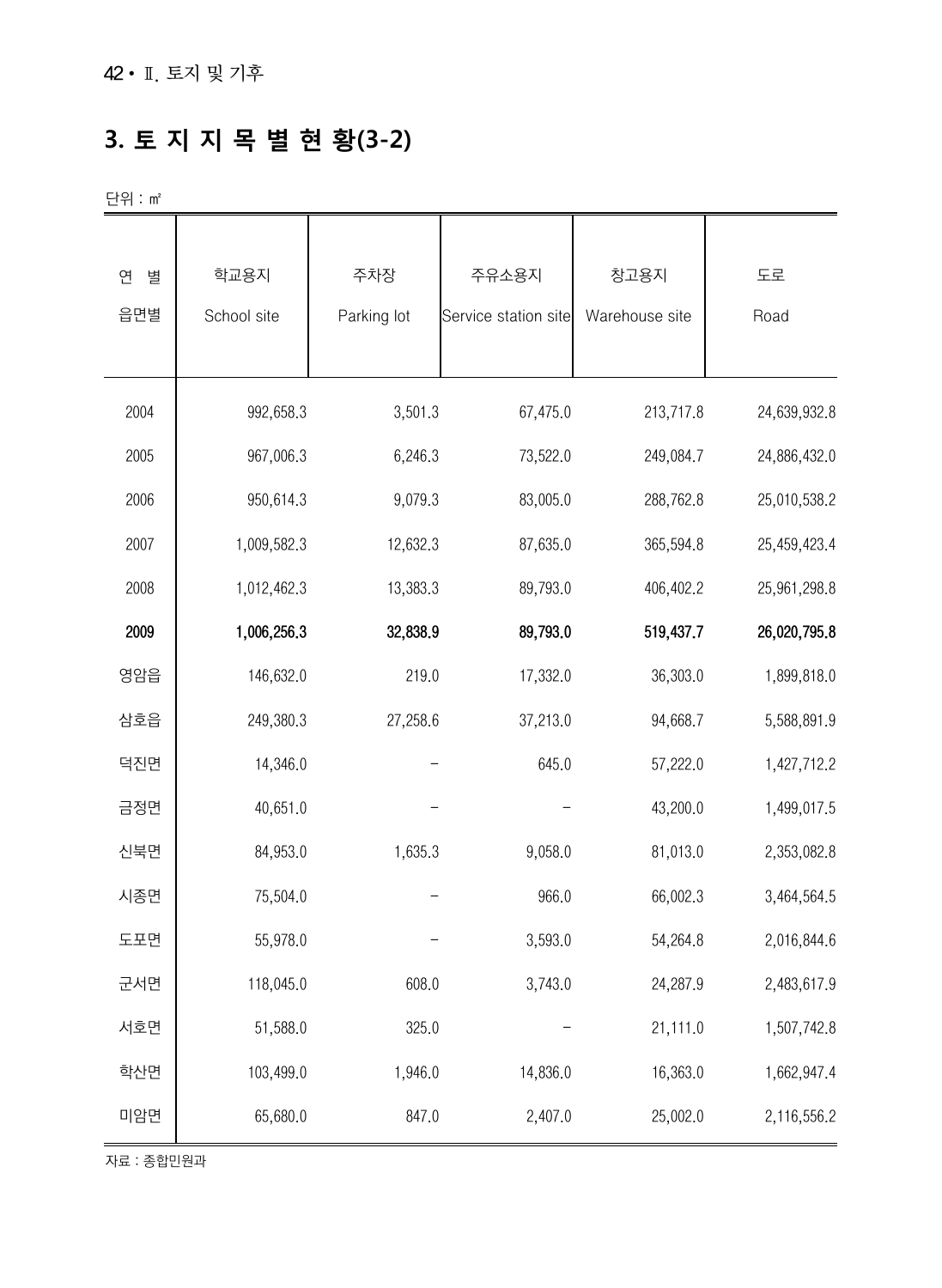## **3. 토 지 지 목 별 현 황(3-2)**

단위 : ㎡

| 별<br>연<br>읍면별 | 학교용지<br>School site | 주차장<br>Parking lot | 주유소용지<br>Service station site | 창고용지<br>Warehouse site | 도로<br>Road   |
|---------------|---------------------|--------------------|-------------------------------|------------------------|--------------|
| 2004          | 992,658.3           | 3,501.3            | 67,475.0                      | 213,717.8              | 24,639,932.8 |
| 2005          | 967,006.3           | 6,246.3            | 73,522.0                      | 249,084.7              | 24,886,432.0 |
| 2006          | 950,614.3           | 9,079.3            | 83,005.0                      | 288,762.8              | 25,010,538.2 |
| 2007          | 1,009,582.3         | 12,632.3           | 87,635.0                      | 365,594.8              | 25,459,423.4 |
| 2008          | 1,012,462.3         | 13,383.3           | 89,793.0                      | 406,402.2              | 25,961,298.8 |
| 2009          | 1,006,256.3         | 32,838.9           | 89,793.0                      | 519,437.7              | 26,020,795.8 |
| 영암읍           | 146,632.0           | 219.0              | 17,332.0                      | 36,303.0               | 1,899,818.0  |
| 삼호읍           | 249,380.3           | 27,258.6           | 37,213.0                      | 94,668.7               | 5,588,891.9  |
| 덕진면           | 14,346.0            |                    | 645.0                         | 57,222.0               | 1,427,712.2  |
| 금정면           | 40,651.0            |                    |                               | 43,200.0               | 1,499,017.5  |
| 신북면           | 84,953.0            | 1,635.3            | 9,058.0                       | 81,013.0               | 2,353,082.8  |
| 시종면           | 75,504.0            |                    | 966.0                         | 66,002.3               | 3,464,564.5  |
| 도포면           | 55,978.0            |                    | 3,593.0                       | 54,264.8               | 2,016,844.6  |
| 군서면           | 118,045.0           | 608.0              | 3,743.0                       | 24,287.9               | 2,483,617.9  |
| 서호면           | 51,588.0            | 325.0              |                               | 21,111.0               | 1,507,742.8  |
| 학산면           | 103,499.0           | 1,946.0            | 14,836.0                      | 16,363.0               | 1,662,947.4  |
| 미암면           | 65,680.0            | 847.0              | 2,407.0                       | 25,002.0               | 2,116,556.2  |

자료 : 종합민원과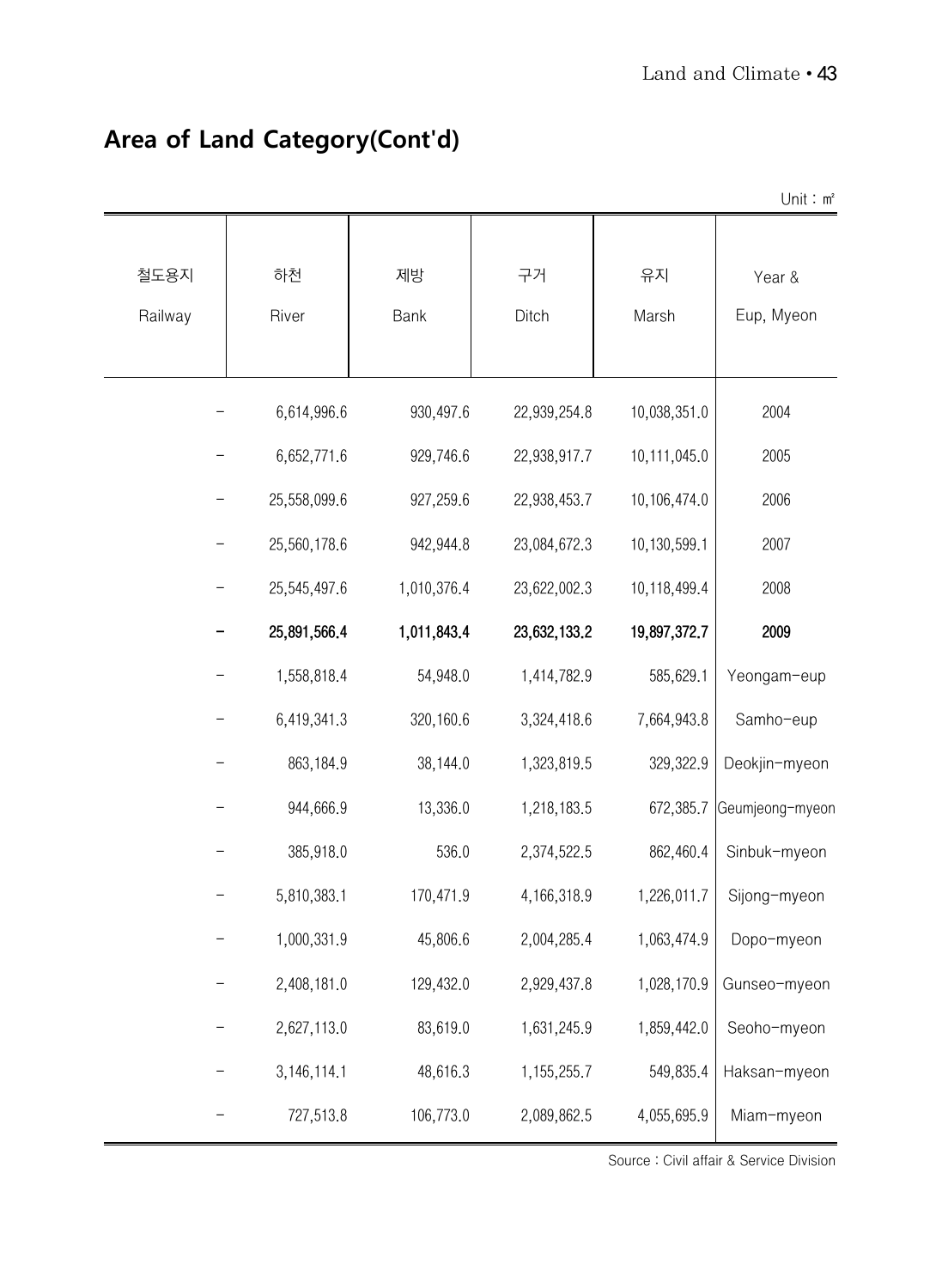|                 |               |             |               |              | Unit: $m^2$          |
|-----------------|---------------|-------------|---------------|--------------|----------------------|
| 철도용지<br>Railway | 하천<br>River   | 제방<br>Bank  | 구거<br>Ditch   | 유지<br>Marsh  | Year &<br>Eup, Myeon |
|                 | 6,614,996.6   | 930,497.6   | 22,939,254.8  | 10,038,351.0 | 2004                 |
|                 | 6,652,771.6   | 929,746.6   | 22,938,917.7  | 10,111,045.0 | 2005                 |
|                 | 25,558,099.6  | 927,259.6   | 22,938,453.7  | 10,106,474.0 | 2006                 |
|                 | 25,560,178.6  | 942,944.8   | 23,084,672.3  | 10,130,599.1 | 2007                 |
|                 | 25,545,497.6  | 1,010,376.4 | 23,622,002.3  | 10,118,499.4 | 2008                 |
|                 | 25,891,566.4  | 1,011,843.4 | 23,632,133.2  | 19,897,372.7 | 2009                 |
|                 | 1,558,818.4   | 54,948.0    | 1,414,782.9   | 585,629.1    | Yeongam-eup          |
|                 | 6,419,341.3   | 320,160.6   | 3,324,418.6   | 7,664,943.8  | Samho-eup            |
|                 | 863,184.9     | 38,144.0    | 1,323,819.5   | 329,322.9    | Deokjin-myeon        |
|                 | 944,666.9     | 13,336.0    | 1,218,183.5   | 672,385.7    | Geumjeong-myeon      |
|                 | 385,918.0     | 536.0       | 2,374,522.5   | 862,460.4    | Sinbuk-myeon         |
|                 | 5,810,383.1   | 170,471.9   | 4,166,318.9   | 1,226,011.7  | Sijong-myeon         |
|                 | 1,000,331.9   | 45,806.6    | 2,004,285.4   | 1,063,474.9  | Dopo-myeon           |
|                 | 2,408,181.0   | 129,432.0   | 2,929,437.8   | 1,028,170.9  | Gunseo-myeon         |
|                 | 2,627,113.0   | 83,619.0    | 1,631,245.9   | 1,859,442.0  | Seoho-myeon          |
|                 | 3, 146, 114.1 | 48,616.3    | 1, 155, 255.7 | 549,835.4    | Haksan-myeon         |
|                 | 727,513.8     | 106,773.0   | 2,089,862.5   | 4,055,695.9  | Miam-myeon           |

#### **Area of Land Category(Cont'd)**

Source : Civil affair & Service Division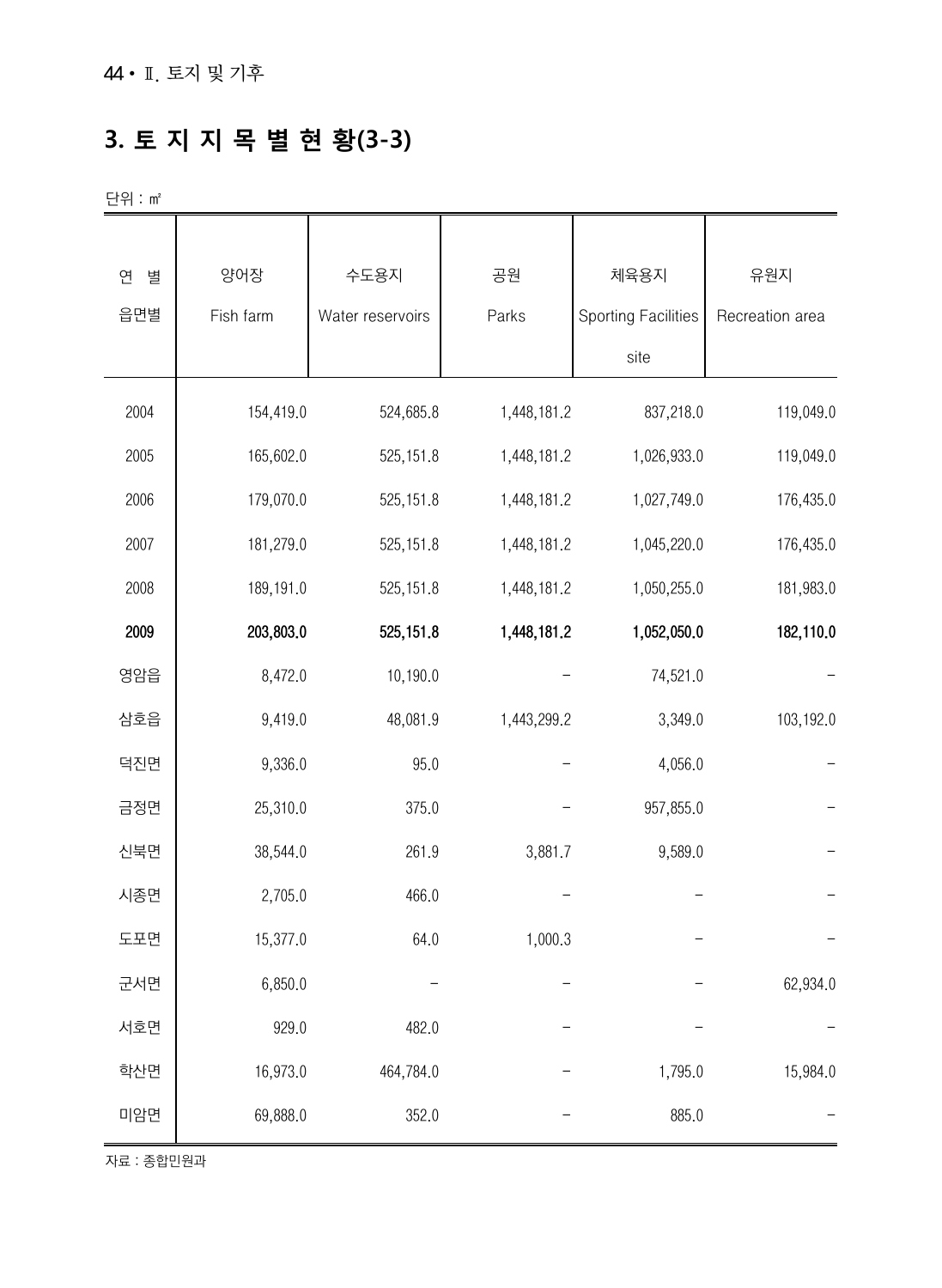#### **3. 토 지 지 목 별 현 황(3-3)**

단위 : ㎡

| 연<br>별 | 양어장       | 수도용지             | 공원          | 체육용지                       | 유원지             |
|--------|-----------|------------------|-------------|----------------------------|-----------------|
| 읍면별    | Fish farm | Water reservoirs | Parks       | <b>Sporting Facilities</b> | Recreation area |
|        |           |                  |             | site                       |                 |
| 2004   | 154,419.0 | 524,685.8        | 1,448,181.2 | 837,218.0                  | 119,049.0       |
| 2005   | 165,602.0 | 525, 151.8       | 1,448,181.2 | 1,026,933.0                | 119,049.0       |
| 2006   | 179,070.0 | 525, 151.8       | 1,448,181.2 | 1,027,749.0                | 176,435.0       |
| 2007   | 181,279.0 | 525, 151.8       | 1,448,181.2 | 1,045,220.0                | 176,435.0       |
| 2008   | 189,191.0 | 525, 151.8       | 1,448,181.2 | 1,050,255.0                | 181,983.0       |
| 2009   | 203,803.0 | 525, 151.8       | 1,448,181.2 | 1,052,050.0                | 182,110.0       |
| 영암읍    | 8,472.0   | 10,190.0         |             | 74,521.0                   |                 |
| 삼호읍    | 9,419.0   | 48,081.9         | 1,443,299.2 | 3,349.0                    | 103,192.0       |
| 덕진면    | 9,336.0   | 95.0             |             | 4,056.0                    |                 |
| 금정면    | 25,310.0  | 375.0            |             | 957,855.0                  |                 |
| 신북면    | 38,544.0  | 261.9            | 3,881.7     | 9,589.0                    |                 |
| 시종면    | 2,705.0   | 466.0            |             |                            |                 |
| 도포면    | 15,377.0  | 64.0             | 1,000.3     |                            |                 |
| 군서면    | 6,850.0   |                  |             |                            | 62,934.0        |
| 서호면    | 929.0     | 482.0            |             |                            |                 |
| 학산면    | 16,973.0  | 464,784.0        |             | 1,795.0                    | 15,984.0        |
| 미암면    | 69,888.0  | 352.0            |             | 885.0                      |                 |

자료 : 종합민원과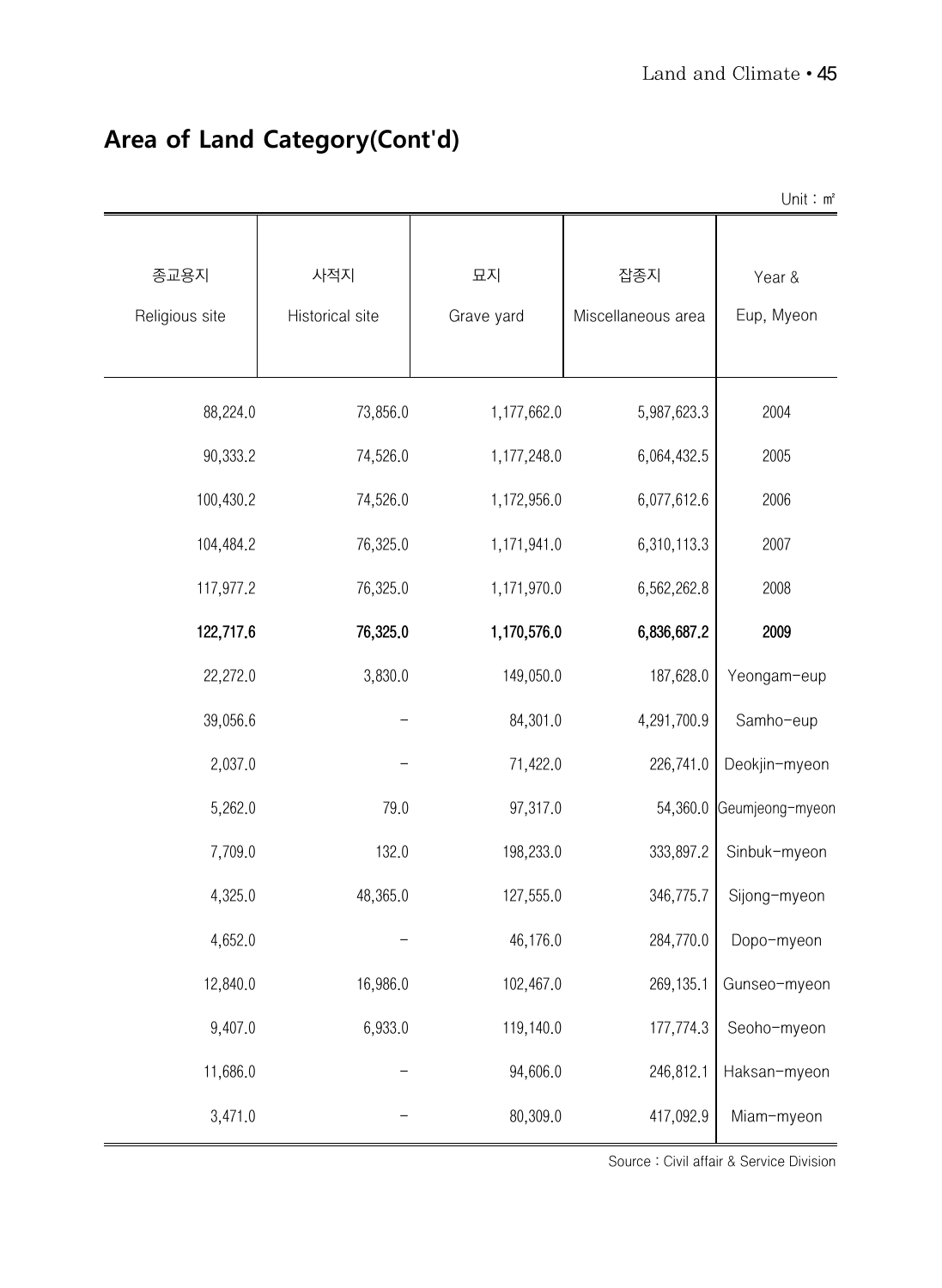|                        |                        |                  |                           | Unit: $m^2$          |
|------------------------|------------------------|------------------|---------------------------|----------------------|
| 종교용지<br>Religious site | 사적지<br>Historical site | 묘지<br>Grave yard | 잡종지<br>Miscellaneous area | Year &<br>Eup, Myeon |
| 88,224.0               | 73,856.0               | 1,177,662.0      | 5,987,623.3               | 2004                 |
| 90,333.2               | 74,526.0               | 1,177,248.0      | 6,064,432.5               | 2005                 |
| 100,430.2              | 74,526.0               | 1,172,956.0      | 6,077,612.6               | 2006                 |
| 104,484.2              | 76,325.0               | 1,171,941.0      | 6,310,113.3               | 2007                 |
| 117,977.2              | 76,325.0               | 1,171,970.0      | 6,562,262.8               | 2008                 |
| 122,717.6              | 76,325.0               | 1,170,576.0      | 6,836,687.2               | 2009                 |
| 22,272.0               | 3,830.0                | 149,050.0        | 187,628.0                 | Yeongam-eup          |
| 39,056.6               |                        | 84,301.0         | 4,291,700.9               | Samho-eup            |
| 2,037.0                |                        | 71,422.0         | 226,741.0                 | Deokjin-myeon        |
| 5,262.0                | 79.0                   | 97,317.0         | 54,360.0                  | Geumjeong-myeon      |
| 7,709.0                | 132.0                  | 198,233.0        | 333,897.2                 | Sinbuk-myeon         |
| 4,325.0                | 48,365.0               | 127,555.0        | 346,775.7                 | Sijong-myeon         |
| 4,652.0                |                        | 46,176.0         | 284,770.0                 | Dopo-myeon           |
| 12,840.0               | 16,986.0               | 102,467.0        | 269,135.1                 | Gunseo-myeon         |
| 9,407.0                | 6,933.0                | 119,140.0        | 177,774.3                 | Seoho-myeon          |
| 11,686.0               |                        | 94,606.0         | 246,812.1                 | Haksan-myeon         |
| 3,471.0                |                        | 80,309.0         | 417,092.9                 | Miam-myeon           |

#### **Area of Land Category(Cont'd)**

Source : Civil affair & Service Division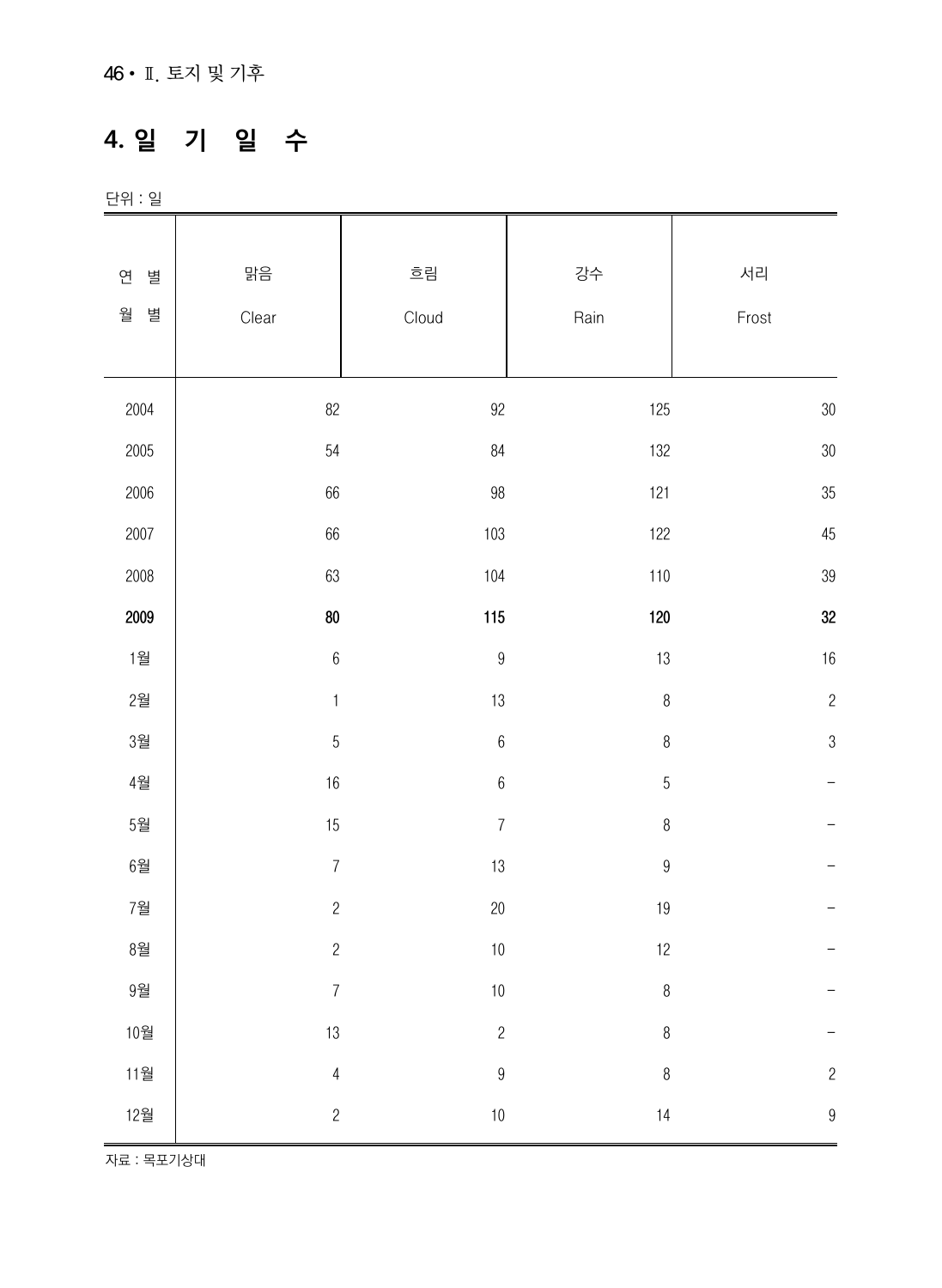#### **4. 일 기 일 수**

단위 : 일

| 별                   | 맑음               | 흐림               | 강수               | 서리               |
|---------------------|------------------|------------------|------------------|------------------|
| 연                   |                  |                  |                  |                  |
| 월<br>별              | Clear            | Cloud            | Rain             | Frost            |
|                     |                  |                  |                  |                  |
| 2004                | 82               | $92\,$           | 125              | $30\,$           |
| 2005                | 54               | 84               | 132              | $30\,$           |
| 2006                | 66               | $98\,$           | 121              | 35               |
| 2007                | 66               | 103              | 122              | 45               |
| 2008                | 63               | 104              | 110              | 39               |
| 2009                | ${\bf 80}$       | 115              | 120              | 32               |
| 1월                  | $\,6$            | $\boldsymbol{9}$ | $13\,$           | 16               |
| 2월                  | $\uparrow$       | 13               | $\, 8$           | $\overline{c}$   |
| 3월                  | $\overline{5}$   | $\boldsymbol{6}$ | $\,8\,$          | $\mathfrak{B}$   |
| 4월                  | $16\,$           | $\,6\,$          | $\overline{5}$   |                  |
| 5 <sup>2</sup>      | 15               | $\overline{7}$   | $\, 8$           |                  |
| 6 <sup>2</sup>      | $\boldsymbol{7}$ | 13               | $\boldsymbol{9}$ |                  |
| 7월                  | $\sqrt{2}$       | $20\,$           | 19               |                  |
| $8\overline{2}$     | $\sqrt{2}$       | $10$             | 12               |                  |
| $9^{\underline{3}}$ | $\overline{7}$   | $10\,$           | $\, 8$           |                  |
| 10월                 | 13               | $\sqrt{2}$       | $\, 8$           |                  |
| 11월                 | $\overline{4}$   | $\boldsymbol{9}$ | $\,8\,$          | $\overline{c}$   |
| 12월                 | $\overline{c}$   | $10\,$           | 14               | $\boldsymbol{9}$ |

자료 : 목포기상대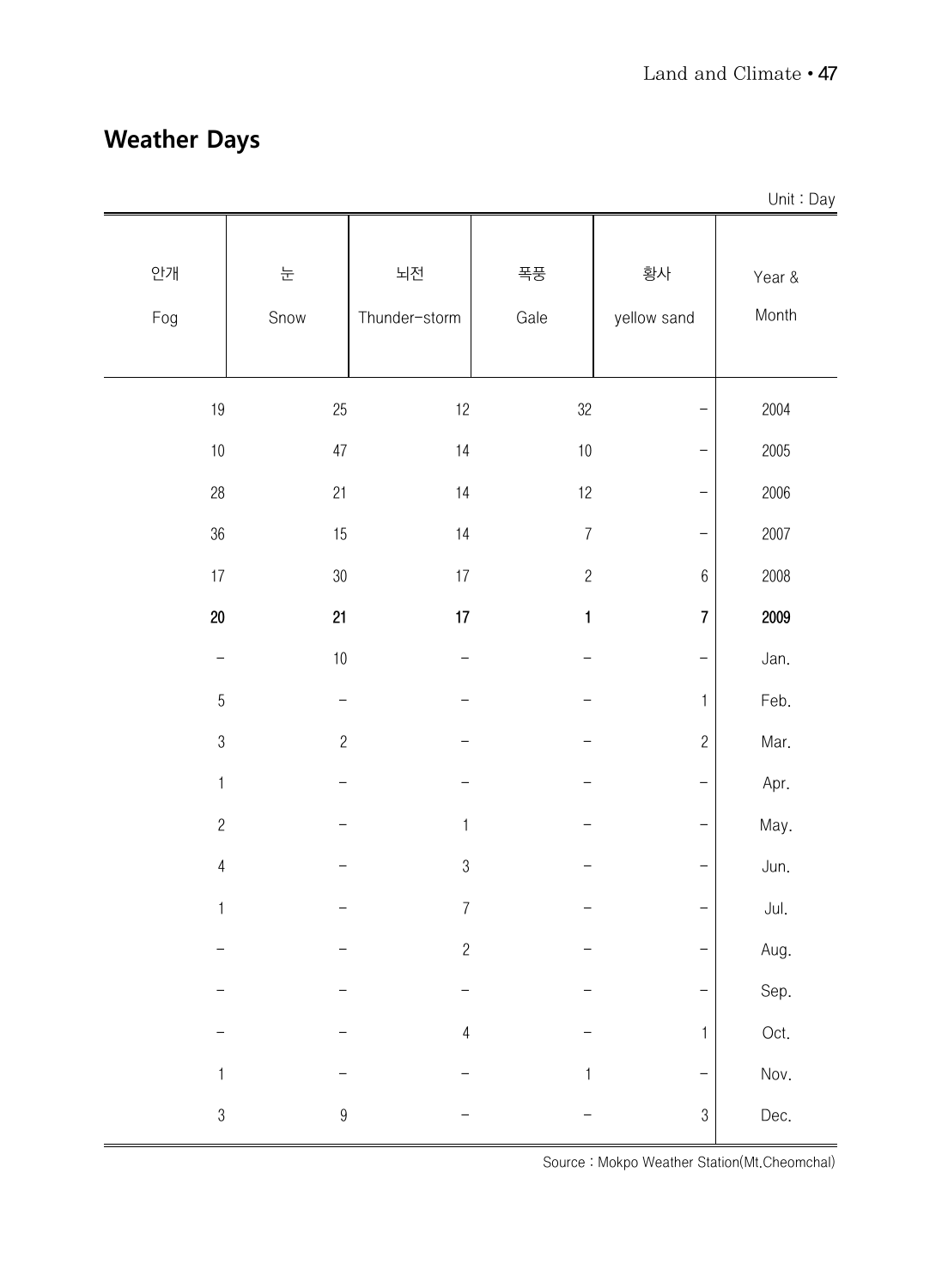#### **Weather Days**

|                |                  |                     |                  |                          | Unit: Day       |
|----------------|------------------|---------------------|------------------|--------------------------|-----------------|
| 안개<br>Fog      | 눈<br>Snow        | 뇌전<br>Thunder-storm | 폭풍<br>Gale       | 황사<br>yellow sand        | Year &<br>Month |
| $19\,$         | 25               | 12                  | 32               | —                        | 2004            |
| $10\,$         | 47               | 14                  | $10\,$           | —                        | 2005            |
| $28\,$         | 21               | 14                  | 12               | <sup>-</sup>             | 2006            |
| $36\,$         | 15               | 14                  | $\boldsymbol{7}$ | <sup>-</sup>             | 2007            |
| $17\,$         | $30\,$           | $17\,$              | $\sqrt{2}$       | $\boldsymbol{6}$         | 2008            |
| $20\,$         | 21               | 17                  | $\mathbf{1}$     | $\overline{7}$           | 2009            |
|                | $10\,$           |                     |                  | <sup>-</sup>             | Jan.            |
| $\overline{5}$ |                  |                     |                  | 1                        | Feb.            |
| $\sqrt{3}$     | $\overline{c}$   |                     |                  | $\overline{c}$           | Mar.            |
| $\mathbf{1}$   |                  |                     |                  | <sup>-</sup>             | Apr.            |
| $\overline{c}$ |                  | $\mathbf{1}$        |                  | <sup>-</sup>             | May.            |
| $\overline{4}$ |                  | $\mathfrak{B}$      |                  | <sup>-</sup>             | Jun.            |
| $\mathbf{1}$   |                  | $\boldsymbol{7}$    |                  | <sup>-</sup>             | Jul.            |
|                |                  | $\sqrt{2}$          |                  | $\overline{\phantom{0}}$ | Aug.            |
|                |                  |                     |                  | <b>—</b>                 | Sep.            |
|                |                  | $\overline{4}$      |                  | 1                        | Oct.            |
| 1              |                  |                     | 1                | <sup>-</sup>             | Nov.            |
| $\mathfrak{S}$ | $\boldsymbol{9}$ |                     |                  | 3                        | Dec.            |

Source : Mokpo Weather Station(Mt.Cheomchal)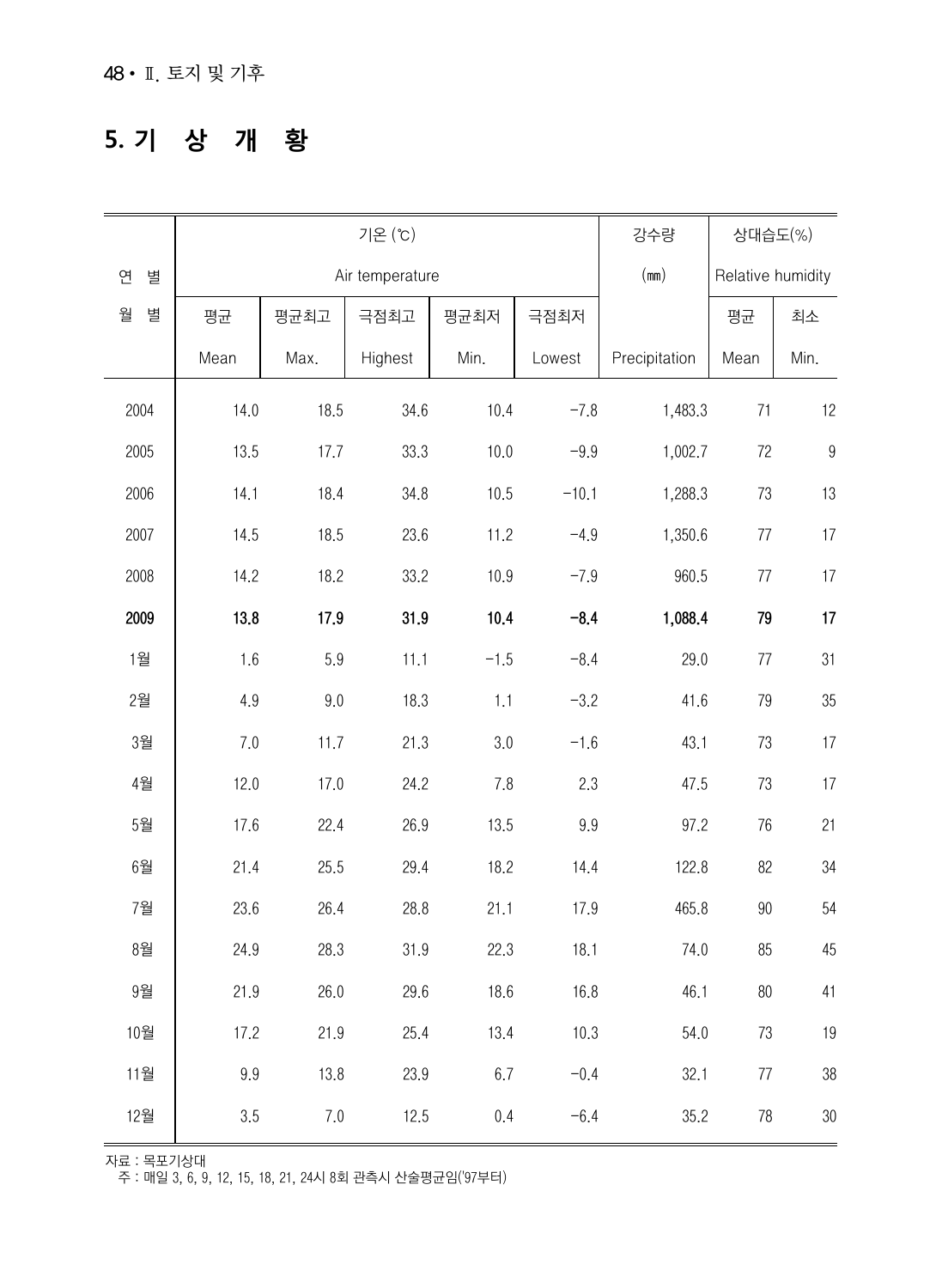#### **5. 기 상 개 황**

|        | 기온 (°C) |      |                 |         |         | 강수량           | 상대습도(%)           |                  |
|--------|---------|------|-----------------|---------|---------|---------------|-------------------|------------------|
| 연<br>별 |         |      | Air temperature |         |         | (mm)          | Relative humidity |                  |
| 월<br>별 | 평균      | 평균최고 | 극점최고            | 평균최저    | 극점최저    |               | 평균                | 최소               |
|        | Mean    | Max. | Highest         | Min.    | Lowest  | Precipitation | Mean              | Min.             |
| 2004   | 14.0    | 18.5 | 34.6            | 10.4    | $-7.8$  | 1,483.3       | 71                | 12               |
| 2005   | 13.5    | 17.7 | 33.3            | 10.0    | $-9.9$  | 1,002.7       | 72                | $\boldsymbol{9}$ |
| 2006   | 14.1    | 18.4 | 34.8            | 10.5    | $-10.1$ | 1,288.3       | 73                | 13               |
| 2007   | 14.5    | 18.5 | 23.6            | 11.2    | $-4.9$  | 1,350.6       | 77                | $17\,$           |
| 2008   | 14.2    | 18.2 | 33.2            | 10.9    | $-7.9$  | 960.5         | 77                | 17               |
| 2009   | 13.8    | 17.9 | 31.9            | 10.4    | $-8.4$  | 1,088.4       | 79                | 17               |
| 1월     | 1.6     | 5.9  | 11.1            | $-1.5$  | $-8.4$  | 29.0          | 77                | 31               |
| 2월     | 4.9     | 9.0  | 18.3            | 1.1     | $-3.2$  | 41.6          | 79                | 35               |
| 3월     | 7.0     | 11.7 | 21.3            | 3.0     | $-1.6$  | 43.1          | 73                | 17               |
| 4월     | 12.0    | 17.0 | 24.2            | 7.8     | 2.3     | 47.5          | 73                | 17               |
| 5월     | 17.6    | 22.4 | 26.9            | 13.5    | 9.9     | 97.2          | 76                | 21               |
| 6월     | 21.4    | 25.5 | 29.4            | 18.2    | 14.4    | 122.8         | 82                | 34               |
| 7월     | 23.6    | 26.4 | 28.8            | 21.1    | 17.9    | 465.8         | $90\,$            | 54               |
| 8월     | 24.9    | 28.3 | 31.9            | 22.3    | 18.1    | 74.0          | 85                | 45               |
| 9월     | 21.9    | 26.0 | 29.6            | 18.6    | 16.8    | 46.1          | $80\,$            | 41               |
| 10월    | 17.2    | 21.9 | 25.4            | 13.4    | 10.3    | 54.0          | 73                | 19               |
| 11월    | 9.9     | 13.8 | 23.9            | $6.7\,$ | $-0.4$  | 32.1          | $77\,$            | $38\,$           |
| 12월    | 3.5     | 7.0  | 12.5            | 0.4     | $-6.4$  | 35.2          | 78                | 30               |

자료 : 목포기상대

주 : 매일 3, 6, 9, 12, 15, 18, 21, 24시 8회 관측시 산술평균임('97부터)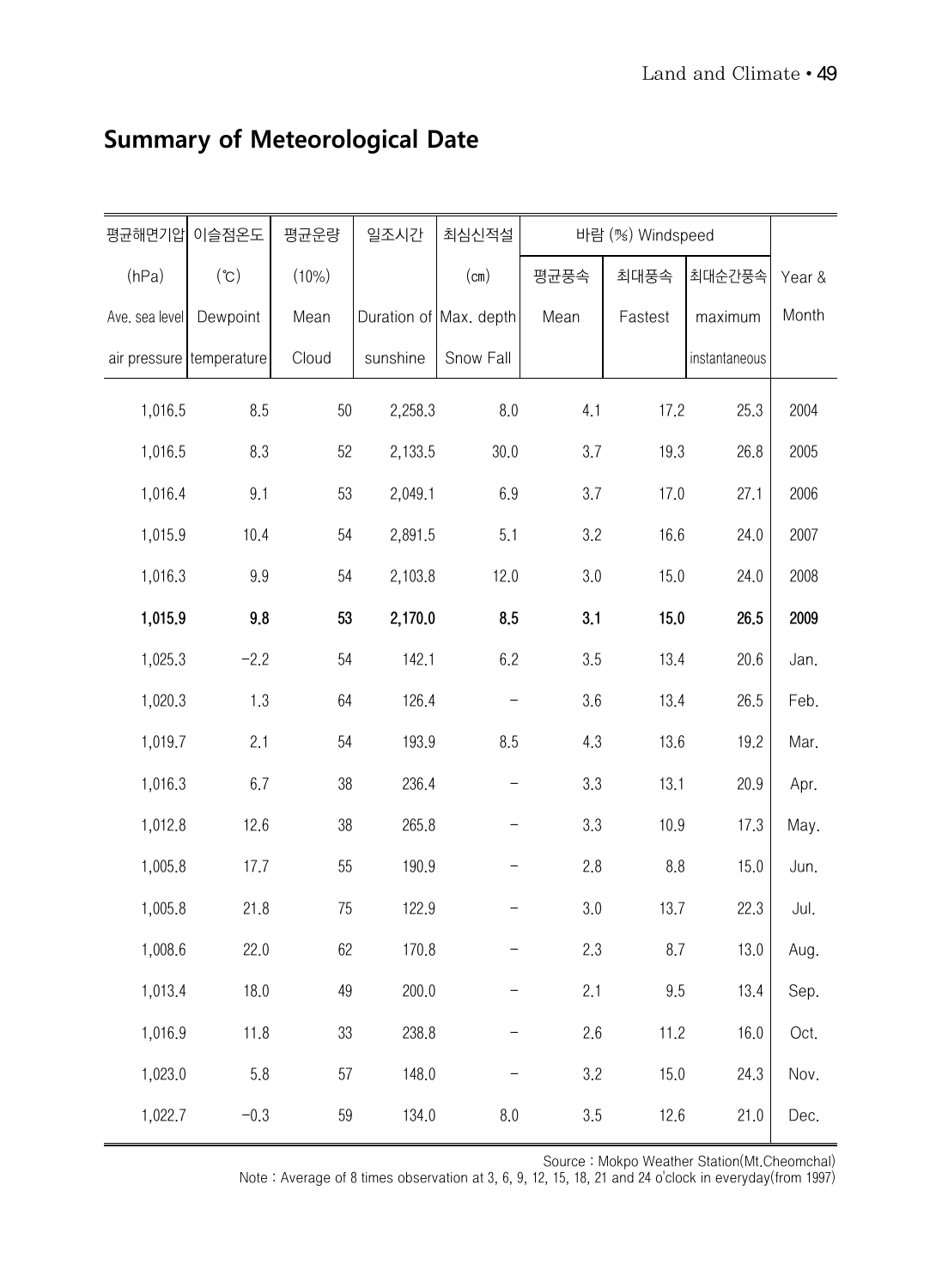| 평균해면기압         | 이슬점온도                    | 평균운량   | 일조시간     | 최심신적설                  | 바람 (%) Windspeed |         |               |        |
|----------------|--------------------------|--------|----------|------------------------|------------------|---------|---------------|--------|
| (hPa)          | (°C)                     | (10%)  |          | (cm)                   | 평균풍속             | 최대풍속    | 최대순간풍속        | Year & |
| Ave. sea level | Dewpoint                 | Mean   |          | Duration of Max. depth | Mean             | Fastest | maximum       | Month  |
|                | air pressure temperature | Cloud  | sunshine | Snow Fall              |                  |         | instantaneous |        |
| 1,016.5        | 8.5                      | $50\,$ | 2,258.3  | 8.0                    | 4.1              | 17.2    | 25.3          | 2004   |
| 1,016.5        | 8.3                      | 52     | 2,133.5  | 30.0                   | 3.7              | 19.3    | 26.8          | 2005   |
| 1,016.4        | 9.1                      | 53     | 2,049.1  | 6.9                    | 3.7              | 17.0    | 27.1          | 2006   |
| 1,015.9        | 10.4                     | 54     | 2,891.5  | 5.1                    | 3.2              | 16.6    | 24.0          | 2007   |
| 1,016.3        | 9.9                      | 54     | 2,103.8  | 12.0                   | 3.0              | 15.0    | 24.0          | 2008   |
| 1,015.9        | 9.8                      | 53     | 2,170.0  | 8.5                    | 3.1              | 15.0    | 26.5          | 2009   |
| 1,025.3        | $-2.2$                   | 54     | 142.1    | 6.2                    | 3.5              | 13.4    | 20.6          | Jan.   |
| 1,020.3        | 1.3                      | 64     | 126.4    |                        | 3.6              | 13.4    | 26.5          | Feb.   |
| 1,019.7        | 2.1                      | 54     | 193.9    | 8.5                    | 4.3              | 13.6    | 19.2          | Mar.   |
| 1,016.3        | 6.7                      | 38     | 236.4    |                        | 3.3              | 13.1    | 20.9          | Apr.   |
| 1,012.8        | 12.6                     | 38     | 265.8    |                        | 3.3              | 10.9    | 17.3          | May.   |
| 1,005.8        | 17.7                     | 55     | 190.9    |                        | 2.8              | 8.8     | 15.0          | Jun.   |
| 1,005.8        | 21.8                     | 75     | 122.9    |                        | 3.0              | 13.7    | 22.3          | Jul.   |
| 1,008.6        | 22.0                     | 62     | 170.8    |                        | 2.3              | 8.7     | 13.0          | Aug.   |
| 1,013.4        | 18.0                     | 49     | 200.0    |                        | 2.1              | 9.5     | 13.4          | Sep.   |
| 1,016.9        | 11.8                     | 33     | 238.8    |                        | 2.6              | 11.2    | 16.0          | Oct.   |
| 1,023.0        | 5.8                      | 57     | 148.0    |                        | 3.2              | 15.0    | 24.3          | Nov.   |
| 1,022.7        | $-0.3$                   | 59     | 134.0    | 8.0                    | 3.5              | 12.6    | 21.0          | Dec.   |

#### **Summary of Meteorological Date**

Source : Mokpo Weather Station(Mt.Cheomchal)

Note : Average of 8 times observation at 3, 6, 9, 12, 15, 18, 21 and 24 o'clock in everyday(from 1997)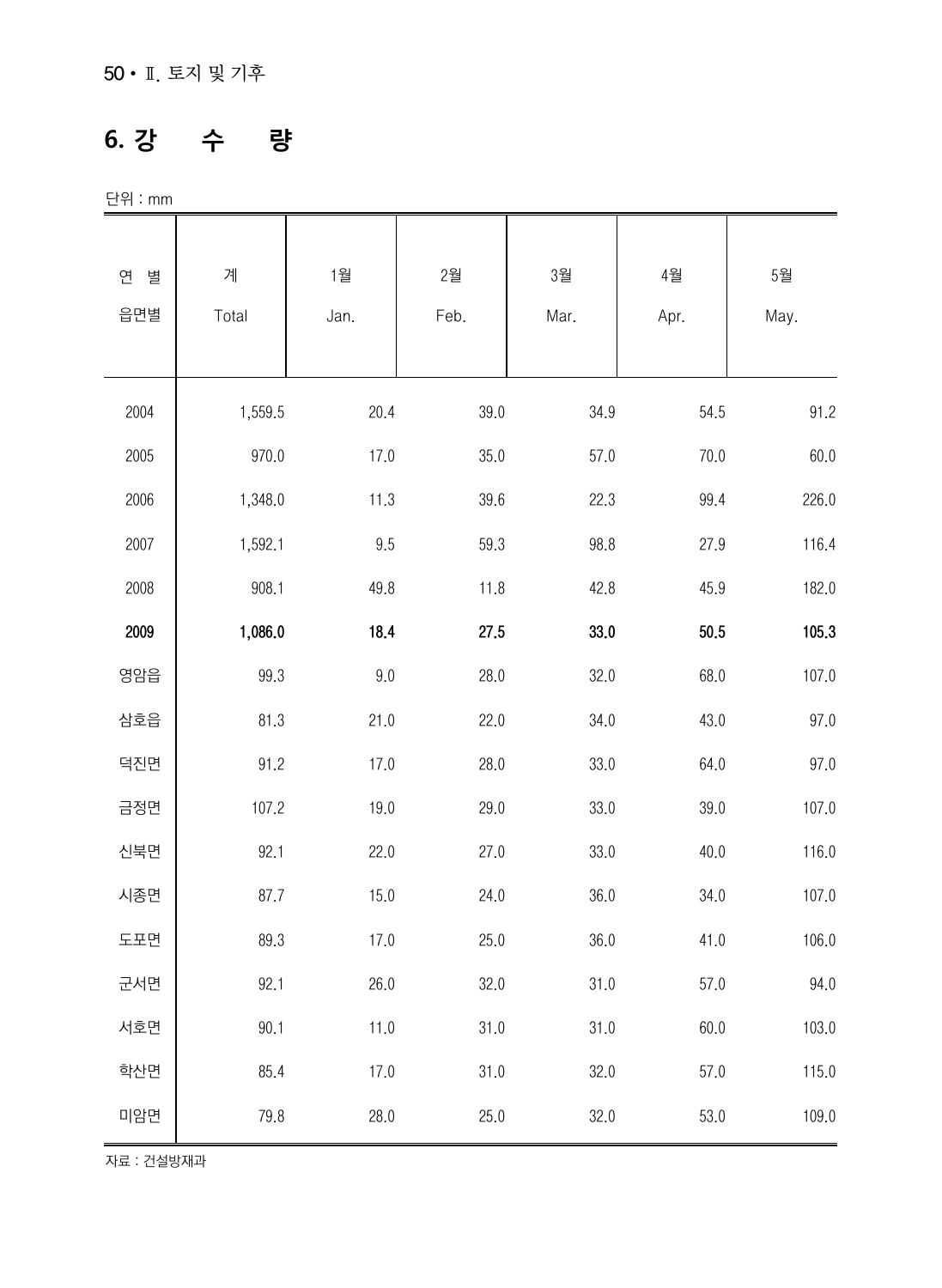#### **6. 강 수 량**

단위 : mm

| 연<br>별 | 계       | 1월      | 2월       | 3월   | 4월   | 5월    |
|--------|---------|---------|----------|------|------|-------|
| 읍면별    | Total   | Jan.    | Feb.     | Mar. | Apr. | May.  |
|        |         |         |          |      |      |       |
| 2004   | 1,559.5 | 20.4    | 39.0     | 34.9 | 54.5 | 91.2  |
| 2005   | 970.0   | 17.0    | 35.0     | 57.0 | 70.0 | 60.0  |
| 2006   | 1,348.0 | 11.3    | 39.6     | 22.3 | 99.4 | 226.0 |
| 2007   | 1,592.1 | 9.5     | 59.3     | 98.8 | 27.9 | 116.4 |
| 2008   | 908.1   | 49.8    | 11.8     | 42.8 | 45.9 | 182.0 |
| 2009   | 1,086.0 | 18.4    | 27.5     | 33.0 | 50.5 | 105.3 |
| 영암읍    | 99.3    | $9.0\,$ | 28.0     | 32.0 | 68.0 | 107.0 |
| 삼호읍    | 81.3    | 21.0    | 22.0     | 34.0 | 43.0 | 97.0  |
| 덕진면    | 91.2    | 17.0    | 28.0     | 33.0 | 64.0 | 97.0  |
| 금정면    | 107.2   | 19.0    | 29.0     | 33.0 | 39.0 | 107.0 |
| 신북면    | 92.1    | 22.0    | 27.0     | 33.0 | 40.0 | 116.0 |
| 시종면    | 87.7    | 15.0    | 24.0     | 36.0 | 34.0 | 107.0 |
| 도포면    | 89.3    | 17.0    | 25.0     | 36.0 | 41.0 | 106.0 |
| 군서면    | 92.1    | 26.0    | 32.0     | 31.0 | 57.0 | 94.0  |
| 서호면    | 90.1    | 11.0    | $31.0\,$ | 31.0 | 60.0 | 103.0 |
| 학산면    | 85.4    | 17.0    | 31.0     | 32.0 | 57.0 | 115.0 |
| 미암면    | 79.8    | 28.0    | 25.0     | 32.0 | 53.0 | 109.0 |

자료 : 건설방재과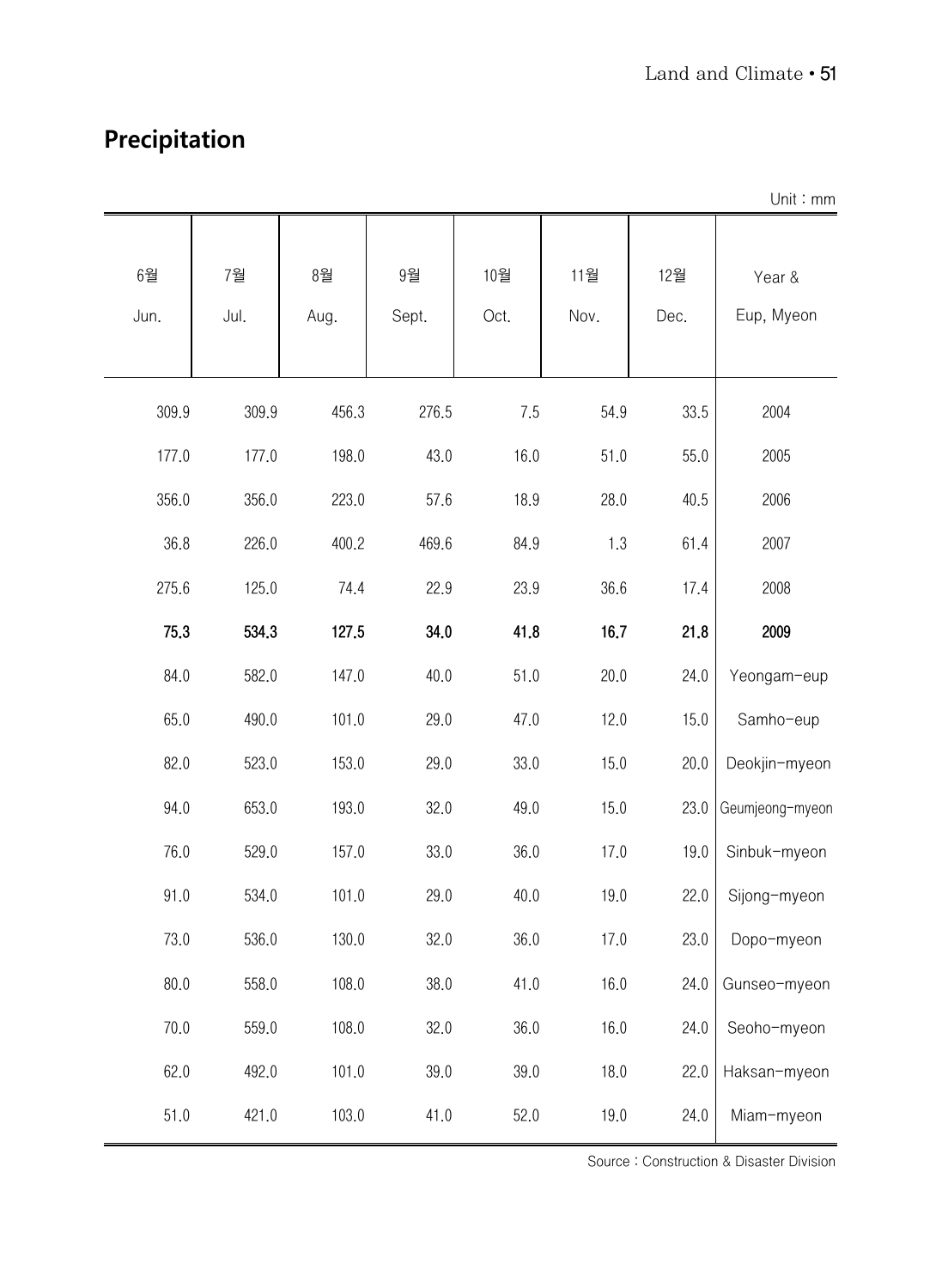#### **Precipitation**

|            |            |            |             |             |             |             | Unit: mm             |
|------------|------------|------------|-------------|-------------|-------------|-------------|----------------------|
| 6월<br>Jun. | 7월<br>Jul. | 8월<br>Aug. | 9월<br>Sept. | 10월<br>Oct. | 11월<br>Nov. | 12월<br>Dec. | Year &<br>Eup, Myeon |
| 309.9      | 309.9      | 456.3      | 276.5       | 7.5         | 54.9        | 33.5        | 2004                 |
| 177.0      | 177.0      | 198.0      | 43.0        | 16.0        | 51.0        | 55.0        | 2005                 |
| 356.0      | 356.0      | 223.0      | 57.6        | 18.9        | 28.0        | 40.5        | 2006                 |
| 36.8       | 226.0      | 400.2      | 469.6       | 84.9        | 1.3         | 61.4        | 2007                 |
| 275.6      | 125.0      | 74.4       | 22.9        | 23.9        | 36.6        | 17.4        | 2008                 |
| 75.3       | 534.3      | 127.5      | 34.0        | 41.8        | 16.7        | 21.8        | 2009                 |
| 84.0       | 582.0      | 147.0      | 40.0        | 51.0        | 20.0        | 24.0        | Yeongam-eup          |
| 65.0       | 490.0      | 101.0      | 29.0        | 47.0        | 12.0        | 15.0        | Samho-eup            |
| 82.0       | 523.0      | 153.0      | 29.0        | 33.0        | 15.0        | 20.0        | Deokjin-myeon        |
| 94.0       | 653.0      | 193.0      | 32.0        | 49.0        | 15.0        | 23.0        | Geumjeong-myeon      |
| 76.0       | 529.0      | 157.0      | 33.0        | 36.0        | 17.0        | 19.0        | Sinbuk-myeon         |
| 91.0       | 534.0      | 101.0      | 29.0        | 40.0        | 19.0        | 22.0        | Sijong-myeon         |
| 73.0       | 536.0      | 130.0      | 32.0        | 36.0        | 17.0        | 23.0        | Dopo-myeon           |
| 80.0       | 558.0      | 108.0      | 38.0        | 41.0        | 16.0        | 24.0        | Gunseo-myeon         |
| 70.0       | 559.0      | 108.0      | 32.0        | 36.0        | 16.0        | 24.0        | Seoho-myeon          |
| 62.0       | 492.0      | 101.0      | 39.0        | 39.0        | 18.0        | 22.0        | Haksan-myeon         |
| 51.0       | 421.0      | 103.0      | 41.0        | 52.0        | 19.0        | 24.0        | Miam-myeon           |

Source : Construction & Disaster Division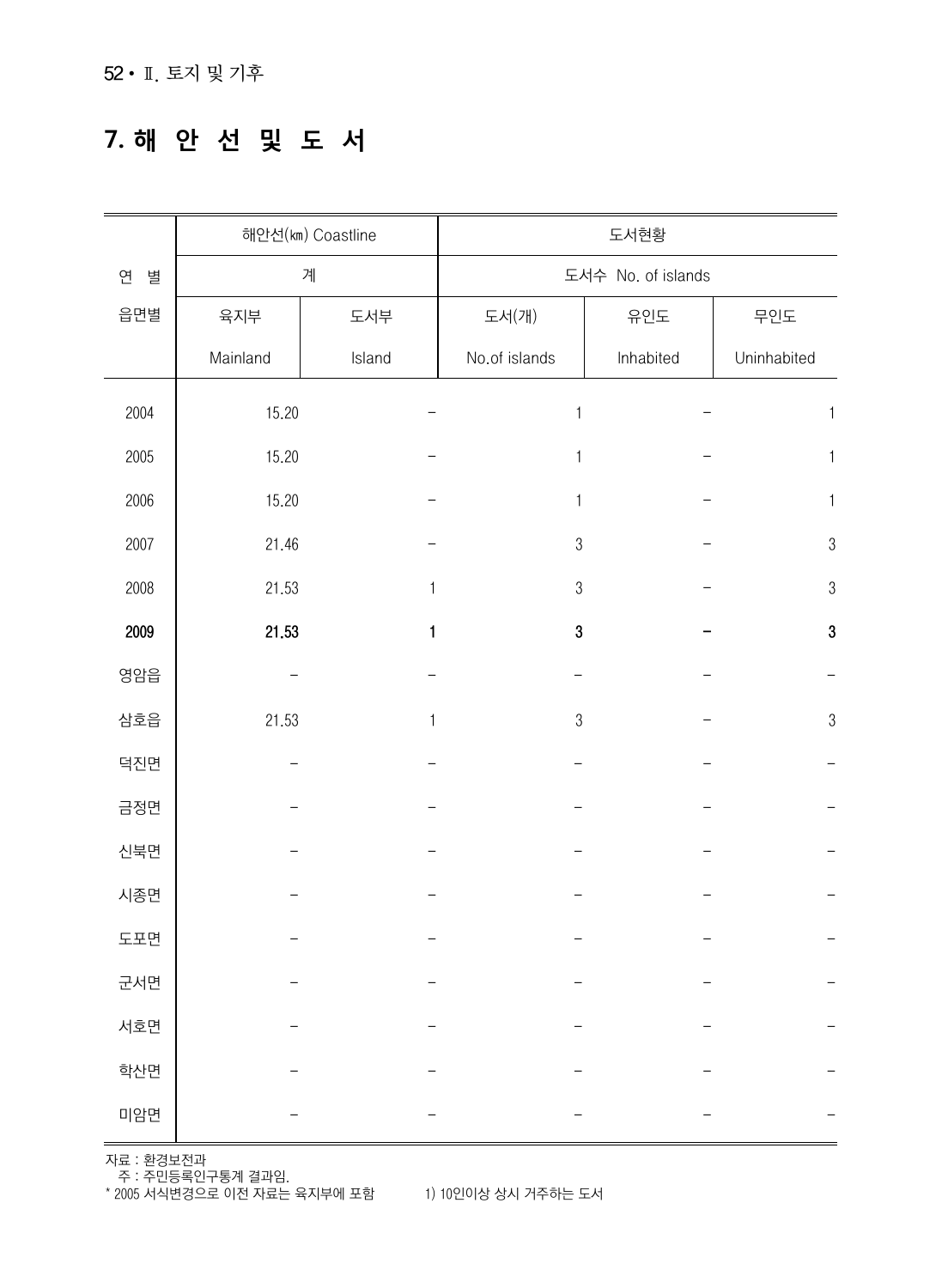#### **7. 해 안 선 및 도 서**

|        |            | 해안선(km) Coastline | 도서현황               |           |              |  |
|--------|------------|-------------------|--------------------|-----------|--------------|--|
| 연<br>별 | 계          |                   | 도서수 No. of islands |           |              |  |
| 읍면별    | 육지부        | 도서부               | 도서(개)              | 유인도       | 무인도          |  |
|        | Mainland   | Island            | No.of islands      | Inhabited | Uninhabited  |  |
| 2004   | 15.20      |                   | $\mathbf{1}$       |           | $\mathbf{1}$ |  |
| 2005   | 15.20      |                   | 1                  |           | 1            |  |
| 2006   | 15.20      |                   | 1                  |           | 1            |  |
| 2007   | 21.46      |                   | $\sqrt{3}$         |           | $\sqrt{3}$   |  |
| 2008   | 21.53<br>1 |                   | 3                  |           | $\sqrt{3}$   |  |
| 2009   | 21.53      | $\mathbf{1}$      | 3                  |           | $\bf 3$      |  |
| 영암읍    |            |                   |                    |           |              |  |
| 삼호읍    | 21.53      | 1                 | $\sqrt{3}$         |           | $\sqrt{3}$   |  |
| 덕진면    |            |                   |                    |           |              |  |
| 금정면    |            |                   |                    |           |              |  |
| 신북면    |            |                   |                    |           |              |  |
| 시종면    |            |                   |                    |           |              |  |
| 도포면    |            |                   |                    |           |              |  |
| 군서면    |            |                   |                    |           |              |  |
| 서호면    |            |                   |                    |           |              |  |
| 학산면    |            |                   |                    |           |              |  |
| 미암면    |            |                   |                    |           |              |  |

자료 : 환경보전과

주 : 주민등록인구통계 결과임.